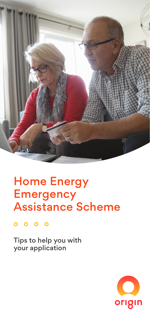

# Home Energy **Emergency** Assistance Scheme

 $0000$ 

Tips to help you with your application

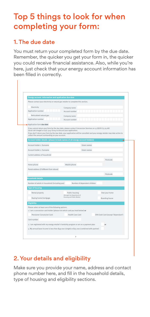## Top 5 things to look for when completing your form:

### 1. The due date

You must return your completed form by the due date. Remember, the quicker you get your form in, the quicker you could receive financial assistance. Also, while you're here, just check that your energy account information has been filled in correctly.

| Energy account information and application due date                                                                                                                                                                                                                                                                                                                |                                                         |                              |                                    |
|--------------------------------------------------------------------------------------------------------------------------------------------------------------------------------------------------------------------------------------------------------------------------------------------------------------------------------------------------------------------|---------------------------------------------------------|------------------------------|------------------------------------|
| Please contact your electricity or natural gas retailer to complete this section.                                                                                                                                                                                                                                                                                  |                                                         |                              |                                    |
| Electricity                                                                                                                                                                                                                                                                                                                                                        | Company name                                            |                              |                                    |
| Application number                                                                                                                                                                                                                                                                                                                                                 | Account number                                          |                              |                                    |
| Reticulated natural gas                                                                                                                                                                                                                                                                                                                                            | Company name                                            |                              |                                    |
| Application number                                                                                                                                                                                                                                                                                                                                                 | Account number                                          |                              |                                    |
| Application form due date                                                                                                                                                                                                                                                                                                                                          |                                                         |                              |                                    |
| If you cannot return your form by the due date, please contact Concession Services on 13 QGOV (13 74 68)<br>(local call charge) or (07) 3247 6204 to discuss your application.<br>If you don't return your form by the due date, your application will be cancelled and your energy retailer may take action to<br>collect the amount outstanding on your account. |                                                         |                              |                                    |
| Account holder details (please include names of all energy account holders)                                                                                                                                                                                                                                                                                        |                                                         |                              |                                    |
| Account holder 1, Sumame                                                                                                                                                                                                                                                                                                                                           | Given names                                             |                              |                                    |
| Account holder 2, Surname                                                                                                                                                                                                                                                                                                                                          | Given names                                             |                              |                                    |
| Current address of household                                                                                                                                                                                                                                                                                                                                       |                                                         |                              |                                    |
|                                                                                                                                                                                                                                                                                                                                                                    |                                                         |                              | Postcode                           |
| Home phone                                                                                                                                                                                                                                                                                                                                                         |                                                         |                              |                                    |
|                                                                                                                                                                                                                                                                                                                                                                    | Mobile phone                                            |                              |                                    |
| Postal address (if different from above)                                                                                                                                                                                                                                                                                                                           |                                                         |                              |                                    |
|                                                                                                                                                                                                                                                                                                                                                                    |                                                         |                              | Postcode                           |
| <b>Household details</b>                                                                                                                                                                                                                                                                                                                                           |                                                         |                              |                                    |
| Number of adults in household (including you)                                                                                                                                                                                                                                                                                                                      |                                                         | Number of dependent children |                                    |
| <b>Type of housing</b>                                                                                                                                                                                                                                                                                                                                             |                                                         |                              |                                    |
| Rental property                                                                                                                                                                                                                                                                                                                                                    | Public housing                                          |                              | Own your home                      |
| Buying home/mortgage                                                                                                                                                                                                                                                                                                                                               | (through the Department of<br>Housing and Public Works) |                              | Boarding house                     |
| <b>Eligibility</b>                                                                                                                                                                                                                                                                                                                                                 |                                                         |                              |                                    |
| Please select at least one of the following options:<br>1. I am a concession card holder (please tick which card you hold below) or                                                                                                                                                                                                                                |                                                         |                              |                                    |
| Pensioner Concession Card                                                                                                                                                                                                                                                                                                                                          | Health Care Card                                        |                              | DVA Gold Card (except 'Dependant') |
| Card number                                                                                                                                                                                                                                                                                                                                                        |                                                         |                              |                                    |
| 2. I am registered with my energy retailer's hardship program or am on a payment plan                                                                                                                                                                                                                                                                              |                                                         | or                           |                                    |
| 3. My annual base income is less than \$49 000 (single) or \$75 000 (combined with partner)                                                                                                                                                                                                                                                                        |                                                         |                              |                                    |
|                                                                                                                                                                                                                                                                                                                                                                    |                                                         |                              |                                    |

### 2. Your details and eligibility

Make sure you provide your name, address and contact phone number here, and fill in the household details, type of housing and eligibility sections.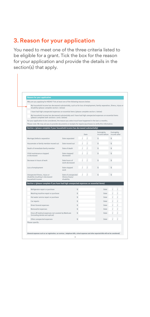### 3. Reason for your application

You need to meet one of the three criteria listed to be eligible for a grant. Tick the box for the reason for your application and provide the details in the section(s) that apply.

| <b>Reason for your application</b>                                                                                                                                     |                                                     |  |                |                              |                             |  |
|------------------------------------------------------------------------------------------------------------------------------------------------------------------------|-----------------------------------------------------|--|----------------|------------------------------|-----------------------------|--|
| Why are you applying for HEEAS? Tick at least one of the following reasons below:                                                                                      |                                                     |  |                |                              |                             |  |
| My household income has decreased substantially, such as for loss of employment, family separation, illness, injury or<br>disability (please complete section 1 below) |                                                     |  |                |                              |                             |  |
| I have had high unexpected expenses on essential items (please complete section 2 below)                                                                               |                                                     |  |                |                              |                             |  |
| My household income has decreased substantially and I have had high unexpected expenses on essential items<br>(please complete both sections 1 and 2 below)            |                                                     |  |                |                              |                             |  |
| For your application to be considered, the reason you select must have happened in the last 12 months.                                                                 |                                                     |  |                |                              |                             |  |
| Please note: We may ask you to provide documents or receipts for repairs/purchases to verify this information.                                                         |                                                     |  |                |                              |                             |  |
| Section 1 (please complete if your household income has decreased substantially)                                                                                       |                                                     |  |                |                              |                             |  |
|                                                                                                                                                                        |                                                     |  | Date           | Fortnightly<br>income before | Fortnightly<br>income after |  |
| Marriage/defacto separation                                                                                                                                            | Date separated                                      |  |                | $\hat{\mathbf{x}}$           | $\hat{\mathbf{x}}$          |  |
| Housemate or family member moved out                                                                                                                                   | Date moved out                                      |  | $\overline{I}$ | Ś                            | Ś                           |  |
| Death of immediate family member                                                                                                                                       | Date of death                                       |  | $\overline{I}$ | Ś                            | Ś                           |  |
| Child maintenance stopped<br>or decreased                                                                                                                              | Date stopped/<br>decreased                          |  |                | $\hat{\mathbf{x}}$           | $\hat{\mathbf{x}}$          |  |
| Decrease in hours of work                                                                                                                                              | Date hours of<br>work decreased                     |  |                | Ś                            | Ś                           |  |
| Loss of employment                                                                                                                                                     | Date stopped<br>work                                |  |                | ¢                            | ¢                           |  |
| Unexpected illness, injury or<br>disability resulting in decreased<br>household income                                                                                 | Date of unexpected<br>illness/injury/<br>disability |  |                | $\hat{\mathbf{x}}$           | $\hat{\mathbf{x}}$          |  |
| Section 2 (please complete if you have had high unexpected expenses on essential items)                                                                                |                                                     |  |                |                              |                             |  |
| Refrigerator repair or purchase                                                                                                                                        | $\hat{\mathbf{x}}$                                  |  |                | Date                         |                             |  |
| Washing machine repair or purchase                                                                                                                                     | \$                                                  |  |                | Date                         |                             |  |
| Hot water service repair or purchase                                                                                                                                   | \$                                                  |  |                | Date                         |                             |  |
| Car repairs                                                                                                                                                            | $\hat{\mathbf{x}}$                                  |  |                | Date                         |                             |  |
| Direct funeral expenses                                                                                                                                                | $\hat{\mathbf{x}}$                                  |  |                | Date                         |                             |  |
| Removalist expenses                                                                                                                                                    | \$                                                  |  |                | Date                         |                             |  |
| Once off medical expenses not covered by Medicare<br>\$<br>(including dental and optical)                                                                              |                                                     |  |                | Date                         |                             |  |
| Other unexpected expenses                                                                                                                                              | $\hat{\mathbf{x}}$                                  |  |                | Date                         | $\overline{I}$              |  |
| Please specify:                                                                                                                                                        |                                                     |  |                |                              |                             |  |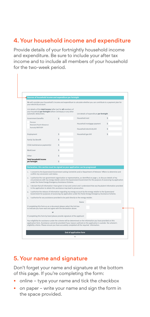### 4. Your household income and expenditure

Provide details of your fortnightly household income and expenditure. Be sure to include your after tax income and to include all members of your household for the two-week period.

| Sources of household income and expenditure per fortnight                                                                                                                                                                                                                                       |                                                                                                                    |                            |                                                                                                 |    |
|-------------------------------------------------------------------------------------------------------------------------------------------------------------------------------------------------------------------------------------------------------------------------------------------------|--------------------------------------------------------------------------------------------------------------------|----------------------------|-------------------------------------------------------------------------------------------------|----|
| We will consider your household's income and expenditure to calculate whether you can contribute to a payment plan for<br>your electricity account.                                                                                                                                             |                                                                                                                    |                            |                                                                                                 |    |
| List details of the total income (after tax) for all members of<br>your household per fortnight before Centrepay or any other<br>automatic deductions.                                                                                                                                          |                                                                                                                    |                            | List details of expenditure per fortnight                                                       |    |
| Government benefits                                                                                                                                                                                                                                                                             | ¢.                                                                                                                 | Household rent             |                                                                                                 | ¢. |
| Pension                                                                                                                                                                                                                                                                                         |                                                                                                                    |                            | Household mortgage payment                                                                      | Ś  |
| Newstart/Youth Allowance<br>Austudy/ABSTUDY                                                                                                                                                                                                                                                     |                                                                                                                    | Household electricity bill |                                                                                                 | Ś  |
|                                                                                                                                                                                                                                                                                                 |                                                                                                                    |                            |                                                                                                 |    |
| Employment                                                                                                                                                                                                                                                                                      | \$                                                                                                                 | Household gas bill         |                                                                                                 | Ś  |
| Family Tax Benefit                                                                                                                                                                                                                                                                              | ¢.                                                                                                                 |                            |                                                                                                 |    |
| Child maintenance payment(s)                                                                                                                                                                                                                                                                    | ¢.                                                                                                                 |                            |                                                                                                 |    |
| <b>WorkCover</b>                                                                                                                                                                                                                                                                                | ¢.                                                                                                                 |                            |                                                                                                 |    |
| Other                                                                                                                                                                                                                                                                                           | ¢                                                                                                                  |                            |                                                                                                 |    |
| <b>Total household income</b><br>per fortnight                                                                                                                                                                                                                                                  | ¢                                                                                                                  |                            |                                                                                                 |    |
| Declaration: this section must be signed so your application can be progressed                                                                                                                                                                                                                  |                                                                                                                    |                            |                                                                                                 |    |
| 1. I consent to the Queensland Government asking Centrelink and/or Department of Veterans' Affairs to determine and                                                                                                                                                                             |                                                                                                                    |                            |                                                                                                 |    |
| confirm my concession card status.                                                                                                                                                                                                                                                              |                                                                                                                    |                            |                                                                                                 |    |
| 2. I authorise the non-government organisation or representative, as identified on page 1, to discuss details of my<br>circumstances with my energy retailer and/or the Queensland Government for the purpose of assessing my application<br>under the Home Energy Emergency Assistance Scheme. |                                                                                                                    |                            |                                                                                                 |    |
| 3. I declare that all information I have given is true and correct and I understand that any fraudulent information provided<br>in the application to obtain this assistance may lead to prosecution.                                                                                           |                                                                                                                    |                            |                                                                                                 |    |
| 4. I authorise the release of information regarding my energy account by the energy retailer to the Queensland<br>Government for purposes of assessing my application under the Home Energy Emergency Assistance Scheme.                                                                        |                                                                                                                    |                            |                                                                                                 |    |
| 5. I authorise for any assistance provided to be paid directly to the energy retailer.                                                                                                                                                                                                          |                                                                                                                    |                            |                                                                                                 |    |
|                                                                                                                                                                                                                                                                                                 |                                                                                                                    | Name                       |                                                                                                 |    |
| If completing this form as an e-document please select the tick box<br>to indicate you have read and agree with the declaration above.                                                                                                                                                          |                                                                                                                    |                            |                                                                                                 |    |
| $\sim$                                                                                                                                                                                                                                                                                          |                                                                                                                    |                            |                                                                                                 |    |
| If completing this form by hand please provide signature of the applicant                                                                                                                                                                                                                       |                                                                                                                    |                            |                                                                                                 |    |
| Your eligibility for assistance under the scheme will be determined on the information you have provided on this                                                                                                                                                                                | application form. Assistance cannot be provided if your reason outlined on the application is outside the scheme's |                            | eligibility criteria. Please ensure you have accurately completed all the required information. |    |

### 5. Your name and signature

Don't forget your name and signature at the bottom of this page. If you're completing the form:

- online type your name and tick the checkbox
- on paper write your name and sign the form in the space provided.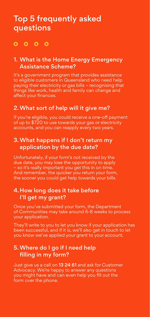### Top 5 frequently asked questions

### $0000$

#### 1. What is the Home Energy Emergency Assistance Scheme?

It's a government program that provides assistance to eligible customers in Queensland who need help paying their electricity or gas bills – recognising that things like work, health and family can change and affect your finances.

### 2.What sort of help will it give me?

If you're eligible, you could receive a one-off payment of up to \$720 to use towards your gas or electricity accounts, and you can reapply every two years.

### 3. What happens if I don't return my application by the due date?

Unfortunately, if your form's not received by the due date, you may lose the opportunity to apply – so it's really important you get this in on time. And remember, the quicker you return your form, the sooner you could get help towards your bills.

### 4.How long does it take before I'll get my grant?

Once you've submitted your form, the Department of Communities may take around 6-8 weeks to process your application.

They'll write to you to let you know if your application has been successful, and if it is, we'll also get in touch to let you know we've applied your grant to your account.

### 5.Where do I go if I need help filling in my form?

Just give us a call on 13 24 61 and ask for Customer Advocacy. We're happy to answer any questions you might have and can even help you fill out the form over the phone.